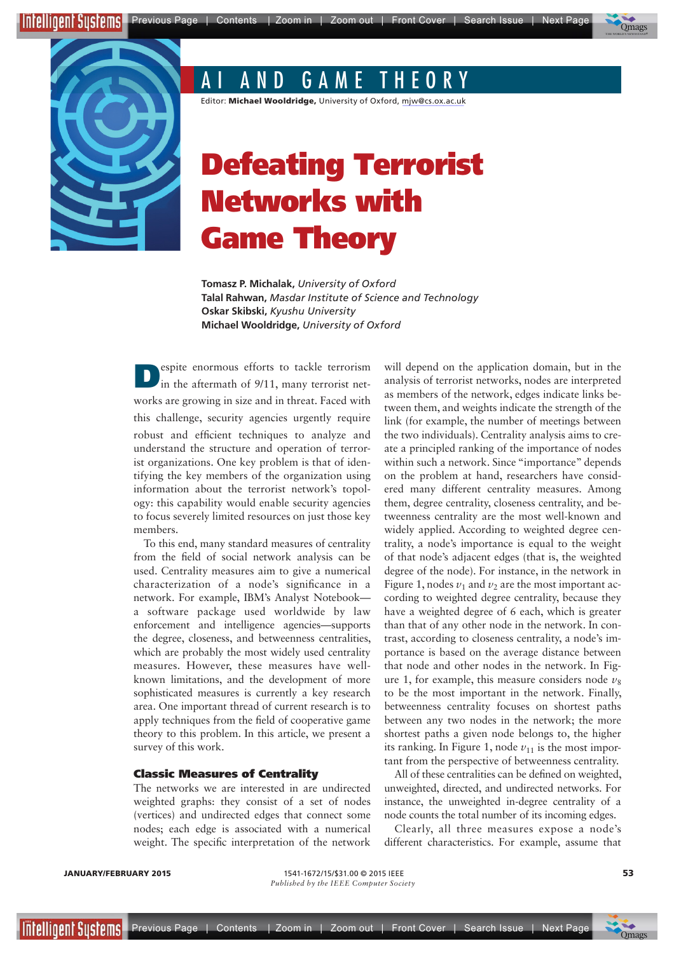



**IEEE**

# AI AND GAME THEORY

Editor: Michael Wooldridge, University of Oxford, mjw@cs.ox.ac.uk

# Defeating Terrorist Networks with Game Theory

**Tomasz P. Michalak,** *University of Oxford* **Talal Rahwan,** *Masdar Institute of Science and Technology* **Oskar Skibski,** *Kyushu University* **Michael Wooldridge,** *University of Oxford*

robust and efficient techniques to analyze and understand the structure and operation of terrorist organizations. One key problem is that of identifying the key members of the organization using information about the terrorist network's topology: this capability would enable security agencies to focus severely limited resources on just those key members. **Despite enormous efforts to tackle terrorism**<br>in the aftermath of 9/11, many terrorist networks are growing in size and in threat. Faced with this challenge, security agencies urgently require

To this end, many standard measures of centrality from the field of social network analysis can be used. Centrality measures aim to give a numerical characterization of a node's significance in a network. For example, IBM's Analyst Notebook a software package used worldwide by law enforcement and intelligence agencies—supports the degree, closeness, and betweenness centralities, which are probably the most widely used centrality measures. However, these measures have wellknown limitations, and the development of more sophisticated measures is currently a key research area. One important thread of current research is to apply techniques from the field of cooperative game theory to this problem. In this article, we present a survey of this work.

#### Classic Measures of Centrality

The networks we are interested in are undirected weighted graphs: they consist of a set of nodes (vertices) and undirected edges that connect some nodes; each edge is associated with a numerical weight. The specific interpretation of the network

will depend on the application domain, but in the analysis of terrorist networks, nodes are interpreted as members of the network, edges indicate links between them, and weights indicate the strength of the link (for example, the number of meetings between the two individuals). Centrality analysis aims to create a principled ranking of the importance of nodes within such a network. Since "importance" depends on the problem at hand, researchers have considered many different centrality measures. Among them, degree centrality, closeness centrality, and betweenness centrality are the most well-known and widely applied. According to weighted degree centrality, a node's importance is equal to the weight of that node's adjacent edges (that is, the weighted degree of the node). For instance, in the network in Figure 1, nodes  $v_1$  and  $v_2$  are the most important according to weighted degree centrality, because they have a weighted degree of 6 each, which is greater than that of any other node in the network. In contrast, according to closeness centrality, a node's importance is based on the average distance between that node and other nodes in the network. In Figure 1, for example, this measure considers node  $\nu_8$ to be the most important in the network. Finally, betweenness centrality focuses on shortest paths between any two nodes in the network; the more shortest paths a given node belongs to, the higher its ranking. In Figure 1, node  $v_{11}$  is the most important from the perspective of betweenness centrality.

All of these centralities can be defined on weighted, unweighted, directed, and undirected networks. For instance, the unweighted in-degree centrality of a node counts the total number of its incoming edges.

Clearly, all three measures expose a node's different characteristics. For example, assume that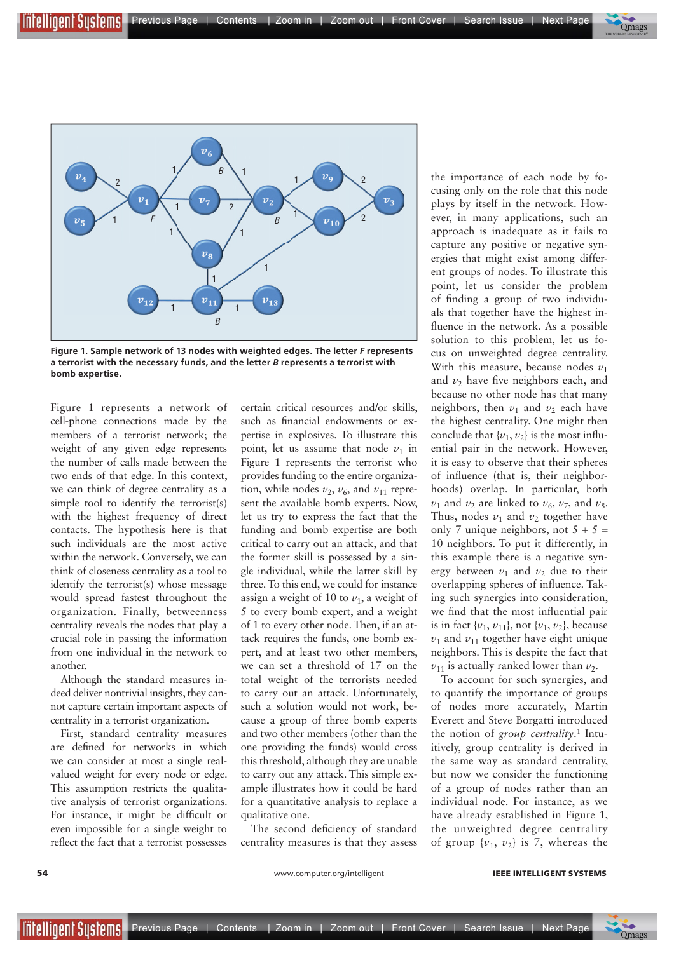



**Figure 1. Sample network of 13 nodes with weighted edges. The letter** *F* **represents a terrorist with the necessary funds, and the letter** *B* **represents a terrorist with bomb expertise.**

Figure 1 represents a network of cell-phone connections made by the members of a terrorist network; the weight of any given edge represents the number of calls made between the two ends of that edge. In this context, we can think of degree centrality as a simple tool to identify the terrorist(s) with the highest frequency of direct contacts. The hypothesis here is that such individuals are the most active within the network. Conversely, we can think of closeness centrality as a tool to identify the terrorist(s) whose message would spread fastest throughout the organization. Finally, betweenness centrality reveals the nodes that play a crucial role in passing the information from one individual in the network to another.

**IEEE**

Although the standard measures indeed deliver nontrivial insights, they cannot capture certain important aspects of centrality in a terrorist organization.

First, standard centrality measures are defned for networks in which we can consider at most a single realvalued weight for every node or edge. This assumption restricts the qualitative analysis of terrorist organizations. For instance, it might be diffcult or even impossible for a single weight to refect the fact that a terrorist possesses certain critical resources and/or skills, such as fnancial endowments or expertise in explosives. To illustrate this point, let us assume that node  $v_1$  in Figure 1 represents the terrorist who provides funding to the entire organization, while nodes  $v_2$ ,  $v_6$ , and  $v_{11}$  represent the available bomb experts. Now, let us try to express the fact that the funding and bomb expertise are both critical to carry out an attack, and that the former skill is possessed by a single individual, while the latter skill by three. To this end, we could for instance assign a weight of 10 to  $v_1$ , a weight of 5 to every bomb expert, and a weight of 1 to every other node. Then, if an attack requires the funds, one bomb expert, and at least two other members, we can set a threshold of 17 on the total weight of the terrorists needed to carry out an attack. Unfortunately, such a solution would not work, because a group of three bomb experts and two other members (other than the one providing the funds) would cross this threshold, although they are unable to carry out any attack. This simple example illustrates how it could be hard for a quantitative analysis to replace a qualitative one.

The second deficiency of standard centrality measures is that they assess

the importance of each node by focusing only on the role that this node plays by itself in the network. However, in many applications, such an approach is inadequate as it fails to capture any positive or negative synergies that might exist among different groups of nodes. To illustrate this point, let us consider the problem of fnding a group of two individuals that together have the highest infuence in the network. As a possible solution to this problem, let us focus on unweighted degree centrality. With this measure, because nodes  $v_1$ and  $v_2$  have five neighbors each, and because no other node has that many neighbors, then  $v_1$  and  $v_2$  each have the highest centrality. One might then conclude that  $\{v_1, v_2\}$  is the most influential pair in the network. However, it is easy to observe that their spheres of infuence (that is, their neighborhoods) overlap. In particular, both  $v_1$  and  $v_2$  are linked to  $v_6$ ,  $v_7$ , and  $v_8$ . Thus, nodes  $v_1$  and  $v_2$  together have only 7 unique neighbors, not  $5 + 5 =$ 10 neighbors. To put it differently, in this example there is a negative synergy between  $v_1$  and  $v_2$  due to their overlapping spheres of infuence. Taking such synergies into consideration, we fnd that the most infuential pair is in fact  $\{v_1, v_{11}\}$ , not  $\{v_1, v_2\}$ , because  $v_1$  and  $v_{11}$  together have eight unique neighbors. This is despite the fact that  $v_{11}$  is actually ranked lower than  $v_2$ .

To account for such synergies, and to quantify the importance of groups of nodes more accurately, Martin Everett and Steve Borgatti introduced the notion of *group centrality*. 1 Intuitively, group centrality is derived in the same way as standard centrality, but now we consider the functioning of a group of nodes rather than an individual node. For instance, as we have already established in Figure 1, the unweighted degree centrality of group  $\{v_1, v_2\}$  is 7, whereas the

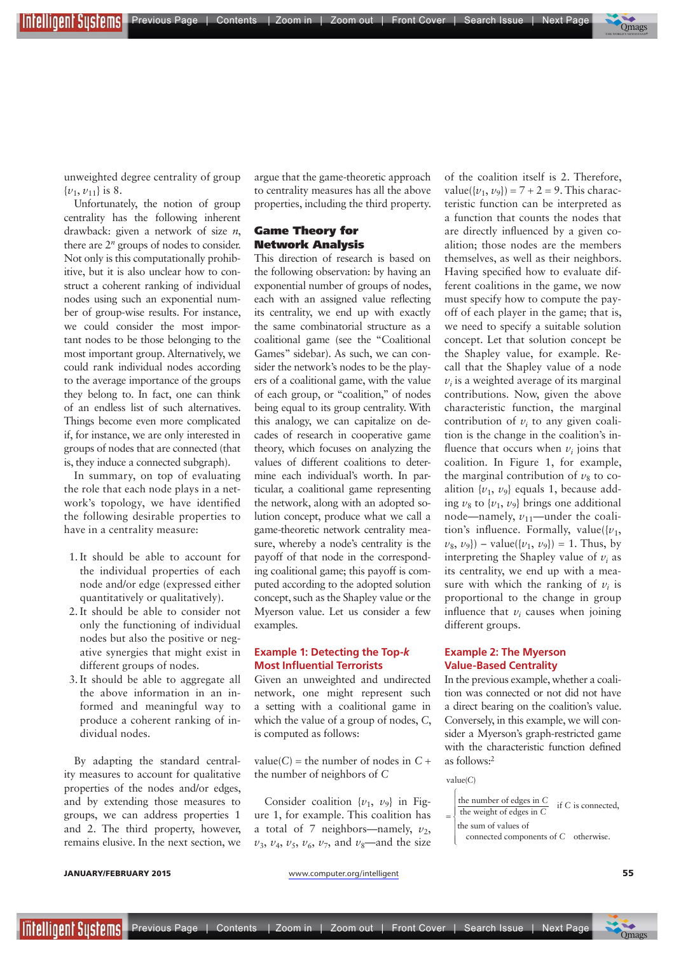unweighted degree centrality of group  $\{v_1, v_{11}\}\$ is 8.

Unfortunately, the notion of group centrality has the following inherent drawback: given a network of size *n*, there are  $2^n$  groups of nodes to consider. Not only is this computationally prohibitive, but it is also unclear how to construct a coherent ranking of individual nodes using such an exponential number of group-wise results. For instance, we could consider the most important nodes to be those belonging to the most important group. Alternatively, we could rank individual nodes according to the average importance of the groups they belong to. In fact, one can think of an endless list of such alternatives. Things become even more complicated if, for instance, we are only interested in groups of nodes that are connected (that is, they induce a connected subgraph).

In summary, on top of evaluating the role that each node plays in a network's topology, we have identifed the following desirable properties to have in a centrality measure:

- 1. It should be able to account for the individual properties of each node and/or edge (expressed either quantitatively or qualitatively).
- 2. It should be able to consider not only the functioning of individual nodes but also the positive or negative synergies that might exist in different groups of nodes.
- 3. It should be able to aggregate all the above information in an informed and meaningful way to produce a coherent ranking of individual nodes.

By adapting the standard centrality measures to account for qualitative properties of the nodes and/or edges, and by extending those measures to groups, we can address properties 1 and 2. The third property, however, remains elusive. In the next section, we argue that the game-theoretic approach to centrality measures has all the above properties, including the third property.

THE LIGER TREVIOUS Page | Contents | Zoom in | Zoom out | Front Cover | Search Issue | Next Page

### Game Theory for Network Analysis

This direction of research is based on the following observation: by having an exponential number of groups of nodes, each with an assigned value refecting its centrality, we end up with exactly the same combinatorial structure as a coalitional game (see the "Coalitional Games" sidebar). As such, we can consider the network's nodes to be the players of a coalitional game, with the value of each group, or "coalition," of nodes being equal to its group centrality. With this analogy, we can capitalize on decades of research in cooperative game theory, which focuses on analyzing the values of different coalitions to determine each individual's worth. In particular, a coalitional game representing the network, along with an adopted solution concept, produce what we call a game-theoretic network centrality measure, whereby a node's centrality is the payoff of that node in the corresponding coalitional game; this payoff is computed according to the adopted solution concept, such as the Shapley value or the Myerson value. Let us consider a few examples.

#### **Example 1: Detecting the Top-***k* **Most Influential Terrorists**

Given an unweighted and undirected network, one might represent such a setting with a coalitional game in which the value of a group of nodes, *C*, is computed as follows:

value(*C*) = the number of nodes in  $C +$ the number of neighbors of *C*

Consider coalition  $\{v_1, v_9\}$  in Figure 1, for example. This coalition has a total of 7 neighbors—namely,  $v_2$ ,  $v_3$ ,  $v_4$ ,  $v_5$ ,  $v_6$ ,  $v_7$ , and  $v_8$ —and the size of the coalition itself is 2. Therefore, value( $\{v_1, v_9\}$ ) = 7 + 2 = 9. This characteristic function can be interpreted as a function that counts the nodes that are directly infuenced by a given coalition; those nodes are the members themselves, as well as their neighbors. Having specifed how to evaluate different coalitions in the game, we now must specify how to compute the payoff of each player in the game; that is, we need to specify a suitable solution concept. Let that solution concept be the Shapley value, for example. Recall that the Shapley value of a node  $v_i$  is a weighted average of its marginal contributions. Now, given the above characteristic function, the marginal contribution of  $v_i$  to any given coalition is the change in the coalition's influence that occurs when  $v_i$  joins that coalition. In Figure 1, for example, the marginal contribution of  $v_8$  to coalition  $\{v_1, v_9\}$  equals 1, because adding  $v_8$  to  $\{v_1, v_9\}$  brings one additional node—namely,  $v_{11}$ —under the coalition's influence. Formally, value( $\{v_1,$  $v_8$ ,  $v_9$ }) – value({ $v_1$ ,  $v_9$ }) = 1. Thus, by interpreting the Shapley value of  $v_i$  as its centrality, we end up with a measure with which the ranking of  $v_i$  is proportional to the change in group influence that  $v_i$  causes when joining different groups.

 $\overline{\phantom{a}}$ **Mags** THE WORLD'S NEWSSTAND®

#### **Example 2: The Myerson Value-Based Centrality**

In the previous example, whether a coalition was connected or not did not have a direct bearing on the coalition's value. Conversely, in this example, we will consider a Myerson's graph-restricted game with the characteristic function defned as follows:2

value(C)

- the number of edges in *C*  $=\begin{cases}$  the weight of edges in  $\frac{C}{C}$  if C is connected,  $\overline{a}$ ⎨  $\frac{1}{2}$ ⎪⎪
- the sum of values of
	- connected components of C otherwise. l  $\frac{1}{2}$ ⎪

**JANUARY/FEBRUARY 2015 S5** www.computer.org/intelligent **55** 

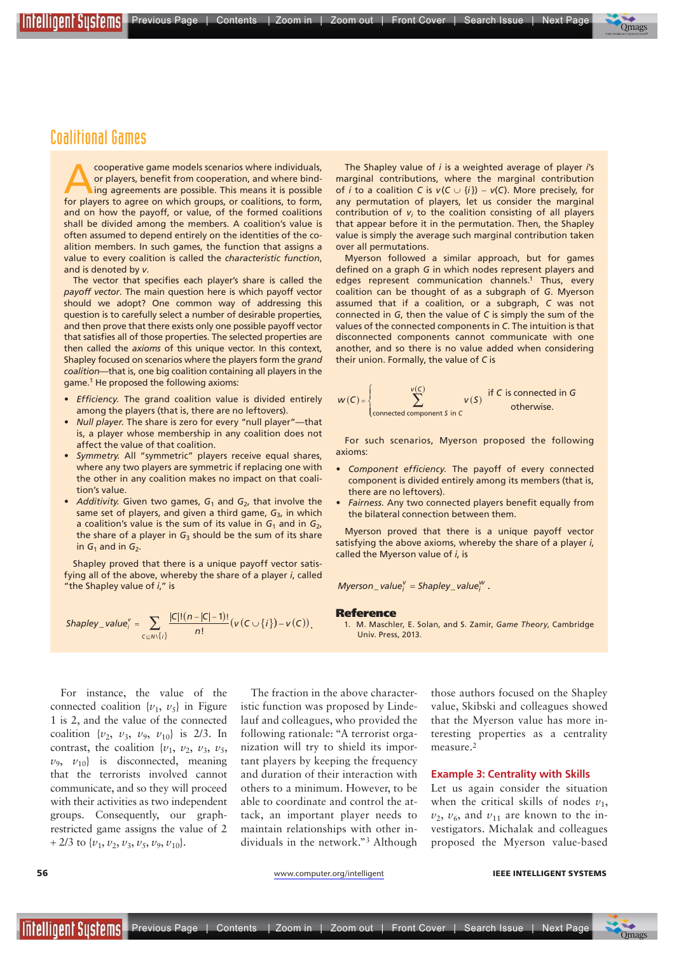**IEEE**

nrellioent Susrems

cooperative game models scenarios where individuals,<br>or players, benefit from cooperation, and where bind-<br>ing agreements are possible. This means it is possible<br>for players to agree on which groups or coalitions to form or players, benefit from cooperation, and where bindfor players to agree on which groups, or coalitions, to form, and on how the payoff, or value, of the formed coalitions shall be divided among the members. A coalition's value is often assumed to depend entirely on the identities of the coalition members. In such games, the function that assigns a value to every coalition is called the *characteristic function*, and is denoted by *v*.

The vector that specifies each player's share is called the *payoff vector*. The main question here is which payoff vector should we adopt? One common way of addressing this question is to carefully select a number of desirable properties, and then prove that there exists only one possible payoff vector that satisfies all of those properties. The selected properties are then called the *axioms* of this unique vector. In this context, Shapley focused on scenarios where the players form the *grand coalition*—that is, one big coalition containing all players in the game.1 He proposed the following axioms:

- *t Efficiency.* The grand coalition value is divided entirely among the players (that is, there are no leftovers).
- *t Null player.* The share is zero for every "null player"—that is, a player whose membership in any coalition does not affect the value of that coalition.
- *t Symmetry.* All "symmetric" players receive equal shares, where any two players are symmetric if replacing one with the other in any coalition makes no impact on that coalition's value.
- *Additivity.* Given two games,  $G_1$  and  $G_2$ , that involve the same set of players, and given a third game, G<sub>3</sub>, in which a coalition's value is the sum of its value in  $G_1$  and in  $G_2$ , the share of a player in  $G_3$  should be the sum of its share in  $G_1$  and in  $G_2$ .

Shapley proved that there is a unique payoff vector satisfying all of the above, whereby the share of a player *i*, called "the Shapley value of *i*," is

$$
Shapley_value_i^v = \sum_{c \subseteq N\setminus\{i\}} \frac{|C|!(n-|C|-1)!}{n!} (v(C \cup \{i\}) - v(C)),
$$

For instance, the value of the connected coalition  $\{v_1, v_5\}$  in Figure 1 is 2, and the value of the connected coalition  $\{v_2, v_3, v_9, v_{10}\}$  is 2/3. In contrast, the coalition  $\{v_1, v_2, v_3, v_5,$  $v_9$ ,  $v_{10}$  is disconnected, meaning that the terrorists involved cannot communicate, and so they will proceed with their activities as two independent groups. Consequently, our graphrestricted game assigns the value of 2 + 2/3 to  $\{v_1, v_2, v_3, v_5, v_9, v_{10}\}.$ 

The fraction in the above characteristic function was proposed by Lindelauf and colleagues, who provided the following rationale: "A terrorist organization will try to shield its important players by keeping the frequency and duration of their interaction with others to a minimum. However, to be able to coordinate and control the attack, an important player needs to maintain relationships with other individuals in the network."3 Although

those authors focused on the Shapley value, Skibski and colleagues showed that the Myerson value has more interesting properties as a centrality measure.2

#### **Example 3: Centrality with Skills**

Let us again consider the situation when the critical skills of nodes  $v_1$ ,  $v_2$ ,  $v_6$ , and  $v_{11}$  are known to the investigators. Michalak and colleagues proposed the Myerson value-based

Intellioent Sustems **I** 



#### **56 www.computer.org/intelligent IEEE INTELLIGENT SYSTEMS**



#### $w(C) = \begin{cases} \sum_{i=1}^{N} v(S_i) \end{cases}$  $\overline{S}$  connected component S in C *v*(C)  $\sum$  $V(S) = \begin{cases} V(S) & \text{if } C \text{ is connected in } G \\ V(S) & \text{otherwise} \end{cases}$  $\overline{a}$ ⎨ otherwise.

For such scenarios, Myerson proposed the following axioms:

The Shapley value of *i* is a weighted average of player *i*'s marginal contributions, where the marginal contribution of *i* to a coalition *C* is  $v(C \cup \{i\}) - v(C)$ . More precisely, for any permutation of players, let us consider the marginal contribution of *vi* to the coalition consisting of all players that appear before it in the permutation. Then, the Shapley value is simply the average such marginal contribution taken

Myerson followed a similar approach, but for games defined on a graph G in which nodes represent players and edges represent communication channels.<sup>1</sup> Thus, every coalition can be thought of as a subgraph of *G*. Myerson assumed that if a coalition, or a subgraph, *C* was not connected in *G*, then the value of *C* is simply the sum of the values of the connected components in *C*. The intuition is that disconnected components cannot communicate with one another, and so there is no value added when considering

- *t Component efficiency.* The payoff of every connected component is divided entirely among its members (that is, there are no leftovers).
- *t Fairness.* Any two connected players benefit equally from the bilateral connection between them.

Myerson proved that there is a unique payoff vector satisfying the above axioms, whereby the share of a player *i*, called the Myerson value of *i*, is

 $Myerson\_value_i^V = Shapley\_value_i^W$ .

their union. Formally, the value of *C* is

#### Reference

over all permutations.

1. M. Maschler, E. Solan, and S. Zamir, *Game Theory*, Cambridge Univ. Press, 2013.

Previous Page | Contents | Zoom in | Zoom out | Front Cover | Search Issue | Next Page  $\overline{\phantom{a}}$ **Mags** 

THE WORLD'S NEWSSTAND®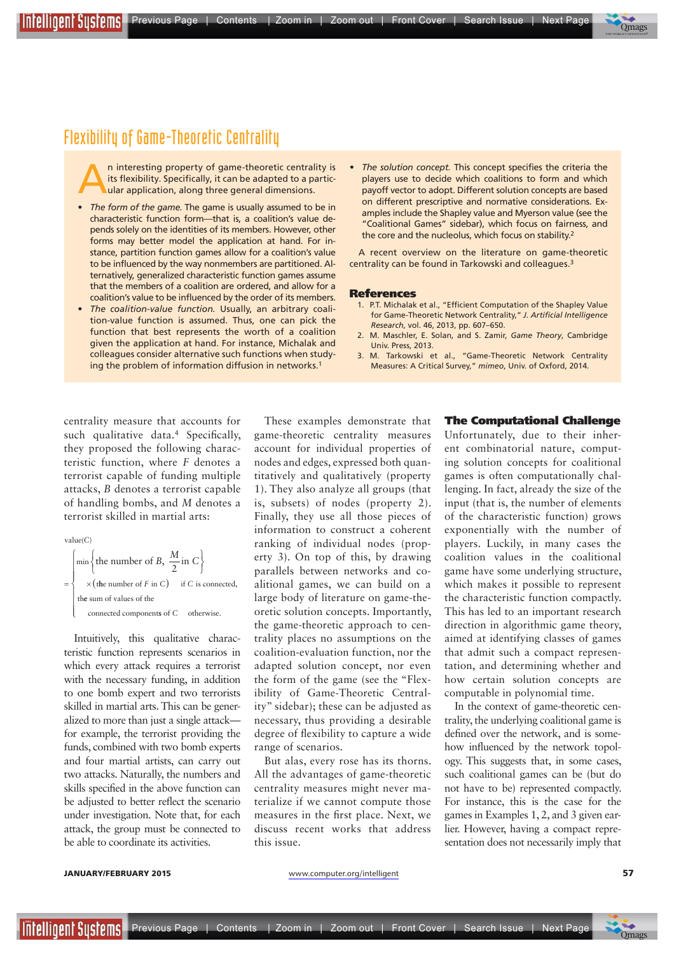

## Flexibility of Game-Theoretic Centrality

An interesting property of game-theoretic centrality is<br>its flexibility. Specifically, it can be adapted to a particular application, along three general dimensions. its flexibility. Specifically, it can be adapted to a particular application, along three general dimensions.

- *t The form of the game.* The game is usually assumed to be in characteristic function form—that is, a coalition's value depends solely on the identities of its members. However, other forms may better model the application at hand. For instance, partition function games allow for a coalition's value to be influenced by the way nonmembers are partitioned. Alternatively, generalized characteristic function games assume that the members of a coalition are ordered, and allow for a coalition's value to be influenced by the order of its members.
- *t The coalition-value function.* Usually, an arbitrary coalition-value function is assumed. Thus, one can pick the function that best represents the worth of a coalition given the application at hand. For instance, Michalak and colleagues consider alternative such functions when studying the problem of information diffusion in networks.<sup>1</sup>
- *t The solution concept.* This concept specifies the criteria the players use to decide which coalitions to form and which payoff vector to adopt. Different solution concepts are based on different prescriptive and normative considerations. Examples include the Shapley value and Myerson value (see the "Coalitional Games" sidebar), which focus on fairness, and the core and the nucleolus, which focus on stability.<sup>2</sup>

A recent overview on the literature on game-theoretic centrality can be found in Tarkowski and colleagues.3

#### References

- 1. P.T. Michalak et al., "Efficient Computation of the Shapley Value for Game-Theoretic Network Centrality," *J. Artifcial Intelligence Research*, vol. 46, 2013, pp. 607–650.
- 2. M. Maschler, E. Solan, and S. Zamir, *Game Theory*, Cambridge Univ. Press, 2013.
- 3. M. Tarkowski et al., "Game-Theoretic Network Centrality Measures: A Critical Survey," *mimeo*, Univ. of Oxford, 2014.

centrality measure that accounts for such qualitative data.<sup>4</sup> Specifically, they proposed the following characteristic function, where *F* denotes a terrorist capable of funding multiple attacks, *B* denotes a terrorist capable of handling bombs, and *M* denotes a terrorist skilled in martial arts:

 $value(C)$ 

**IEEE**

l

⎪

$$
= \begin{cases} \min \left\{ \text{the number of } B, \frac{M}{2} \text{ in } C \right\} \\ \times \left( \text{the number of } F \text{ in } C \right) \quad \text{if } C \text{ is connected,} \\ \text{the sum of values of the} \end{cases}
$$

connected components of C otherwise.

Intuitively, this qualitative characteristic function represents scenarios in which every attack requires a terrorist with the necessary funding, in addition to one bomb expert and two terrorists skilled in martial arts. This can be generalized to more than just a single attack for example, the terrorist providing the funds, combined with two bomb experts and four martial artists, can carry out two attacks. Naturally, the numbers and skills specifed in the above function can be adjusted to better reflect the scenario under investigation. Note that, for each attack, the group must be connected to be able to coordinate its activities.

These examples demonstrate that game-theoretic centrality measures account for individual properties of nodes and edges, expressed both quantitatively and qualitatively (property 1). They also analyze all groups (that is, subsets) of nodes (property 2). Finally, they use all those pieces of information to construct a coherent ranking of individual nodes (property 3). On top of this, by drawing parallels between networks and coalitional games, we can build on a large body of literature on game-theoretic solution concepts. Importantly, the game-theoretic approach to centrality places no assumptions on the coalition-evaluation function, nor the adapted solution concept, nor even the form of the game (see the "Flexibility of Game-Theoretic Centrality" sidebar); these can be adjusted as necessary, thus providing a desirable degree of fexibility to capture a wide range of scenarios.

But alas, every rose has its thorns. All the advantages of game-theoretic centrality measures might never materialize if we cannot compute those measures in the frst place. Next, we discuss recent works that address this issue.

#### The Computational Challenge

Unfortunately, due to their inherent combinatorial nature, computing solution concepts for coalitional games is often computationally challenging. In fact, already the size of the input (that is, the number of elements of the characteristic function) grows exponentially with the number of players. Luckily, in many cases the coalition values in the coalitional game have some underlying structure, which makes it possible to represent the characteristic function compactly. This has led to an important research direction in algorithmic game theory, aimed at identifying classes of games that admit such a compact representation, and determining whether and how certain solution concepts are computable in polynomial time.

In the context of game-theoretic centrality, the underlying coalitional game is defned over the network, and is somehow infuenced by the network topology. This suggests that, in some cases, such coalitional games can be (but do not have to be) represented compactly. For instance, this is the case for the games in Examples 1, 2, and 3 given earlier. However, having a compact representation does not necessarily imply that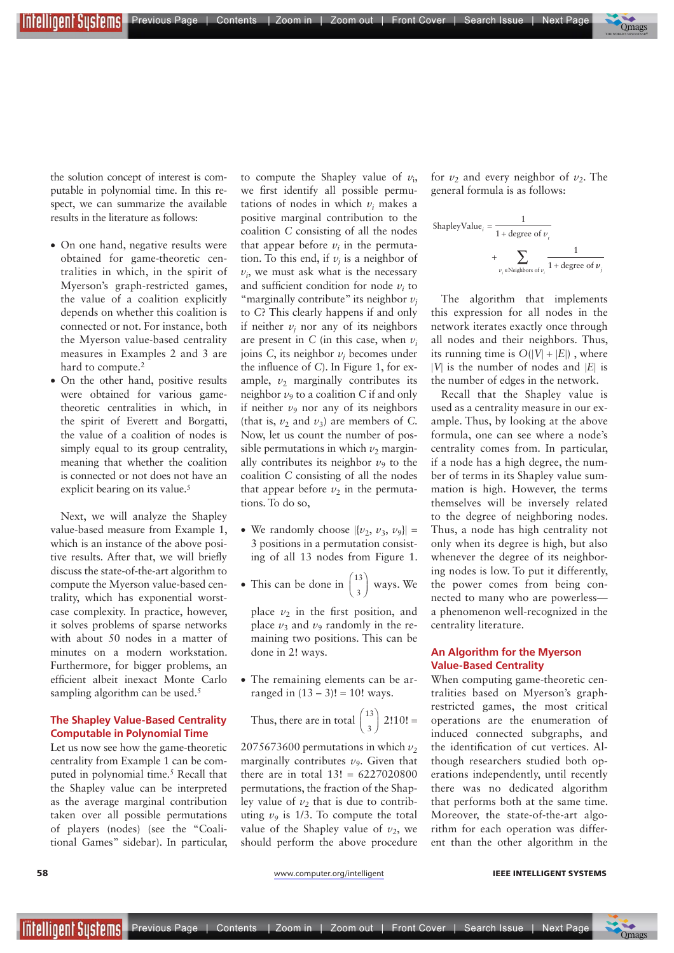Previous Page | Contents | Zoom in | Zoom out | Front Cover | Search Issue | Next Page q Infellioenf Susfems

 $\overline{\phantom{a}}$ **Mags** THE WORLD'S NEWSSTAND®

the solution concept of interest is computable in polynomial time. In this respect, we can summarize the available results in the literature as follows:

**IEEE**

- On one hand, negative results were obtained for game-theoretic centralities in which, in the spirit of Myerson's graph-restricted games, the value of a coalition explicitly depends on whether this coalition is connected or not. For instance, both the Myerson value-based centrality measures in Examples 2 and 3 are hard to compute.<sup>2</sup>
- On the other hand, positive results were obtained for various gametheoretic centralities in which, in the spirit of Everett and Borgatti, the value of a coalition of nodes is simply equal to its group centrality, meaning that whether the coalition is connected or not does not have an explicit bearing on its value.<sup>5</sup>

Next, we will analyze the Shapley value-based measure from Example 1, which is an instance of the above positive results. After that, we will briefy discuss the state-of-the-art algorithm to compute the Myerson value-based centrality, which has exponential worstcase complexity. In practice, however, it solves problems of sparse networks with about 50 nodes in a matter of minutes on a modern workstation. Furthermore, for bigger problems, an effcient albeit inexact Monte Carlo sampling algorithm can be used.<sup>5</sup>

### **The Shapley Value-Based Centrality Computable in Polynomial Time**

Let us now see how the game-theoretic centrality from Example 1 can be computed in polynomial time.5 Recall that the Shapley value can be interpreted as the average marginal contribution taken over all possible permutations of players (nodes) (see the "Coalitional Games" sidebar). In particular,

to compute the Shapley value of  $v_i$ , we frst identify all possible permutations of nodes in which  $v_i$  makes a positive marginal contribution to the coalition *C* consisting of all the nodes that appear before  $v_i$  in the permutation. To this end, if  $v_j$  is a neighbor of  $v_i$ , we must ask what is the necessary and sufficient condition for node  $v_i$  to "marginally contribute" its neighbor  $v_i$ to *C*? This clearly happens if and only if neither  $v_j$  nor any of its neighbors are present in *C* (in this case, when  $v_i$ joins *C*, its neighbor  $v_j$  becomes under the infuence of *C*). In Figure 1, for example,  $v_2$  marginally contributes its neighbor  $\nu_9$  to a coalition *C* if and only if neither  $v_9$  nor any of its neighbors (that is,  $\nu_2$  and  $\nu_3$ ) are members of *C*. Now, let us count the number of possible permutations in which  $\nu_2$  marginally contributes its neighbor  $\nu_9$  to the coalition *C* consisting of all the nodes that appear before  $v_2$  in the permutations. To do so,

- We randomly choose  $|\{v_2, v_3, v_9\}|$  = 3 positions in a permutation consisting of all 13 nodes from Figure 1.
- This can be done in  $\binom{13}{3}$ ⎛  $\begin{pmatrix} 13 \\ 3 \end{pmatrix}$  ways. We

place  $v_2$  in the first position, and place  $v_3$  and  $v_9$  randomly in the remaining two positions. This can be done in 2! ways.

• The remaining elements can be arranged in  $(13 - 3)! = 10!$  ways.

Thus, there are in total 
$$
\binom{13}{3}
$$
 2!10! =

2075673600 permutations in which  $v_2$ marginally contributes  $\nu_9$ . Given that there are in total  $13! = 6227020800$ permutations, the fraction of the Shapley value of  $v_2$  that is due to contributing  $v_9$  is 1/3. To compute the total value of the Shapley value of  $v_2$ , we should perform the above procedure for  $v_2$  and every neighbor of  $v_2$ . The general formula is as follows:

ShapleyValue<sub>*i*</sub> = 
$$
\frac{1}{1 + \text{degree of } v_i}
$$
+ 
$$
\sum_{v_j \in \text{Neighbors of } v_i} \frac{1}{1 + \text{degree of } v_j}
$$

The algorithm that implements this expression for all nodes in the network iterates exactly once through all nodes and their neighbors. Thus, its running time is  $O(|V| + |E|)$ , where  $|V|$  is the number of nodes and  $|E|$  is the number of edges in the network.

Recall that the Shapley value is used as a centrality measure in our example. Thus, by looking at the above formula, one can see where a node's centrality comes from. In particular, if a node has a high degree, the number of terms in its Shapley value summation is high. However, the terms themselves will be inversely related to the degree of neighboring nodes. Thus, a node has high centrality not only when its degree is high, but also whenever the degree of its neighboring nodes is low. To put it differently, the power comes from being connected to many who are powerless a phenomenon well-recognized in the centrality literature.

### **An Algorithm for the Myerson Value-Based Centrality**

When computing game-theoretic centralities based on Myerson's graphrestricted games, the most critical operations are the enumeration of induced connected subgraphs, and the identifcation of cut vertices. Although researchers studied both operations independently, until recently there was no dedicated algorithm that performs both at the same time. Moreover, the state-of-the-art algorithm for each operation was different than the other algorithm in the

#### **58** WWW.computer.org/intelligent **IEEE INTELLIGENT SYSTEMS**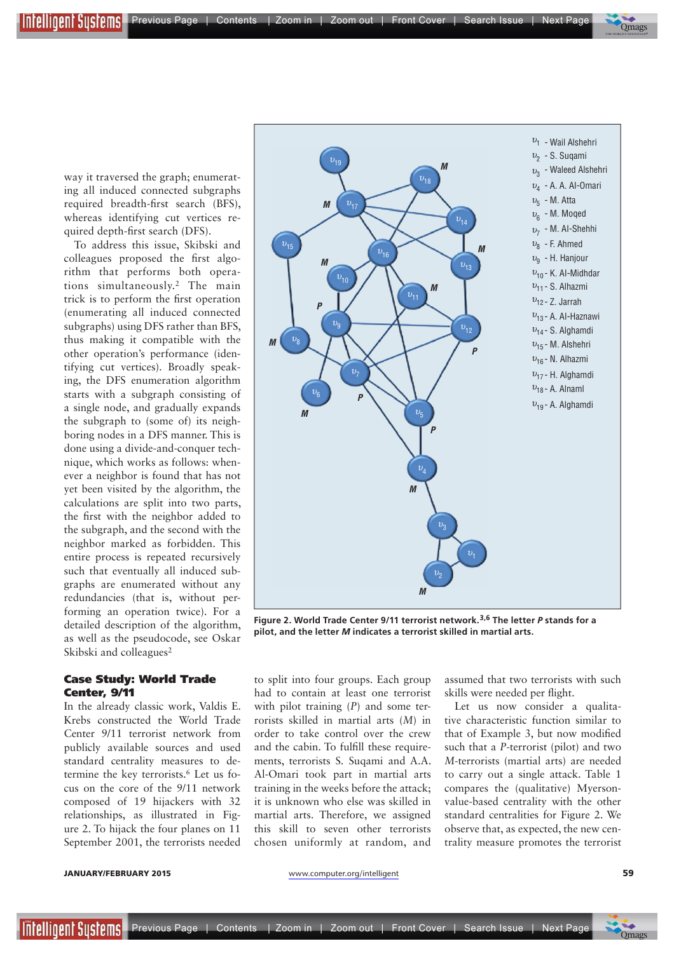way it traversed the graph; enumerating all induced connected subgraphs required breadth-frst search (BFS), whereas identifying cut vertices required depth-frst search (DFS).

**IEEE**

To address this issue, Skibski and colleagues proposed the frst algorithm that performs both operations simultaneously.2 The main trick is to perform the frst operation (enumerating all induced connected subgraphs) using DFS rather than BFS, thus making it compatible with the other operation's performance (identifying cut vertices). Broadly speaking, the DFS enumeration algorithm starts with a subgraph consisting of a single node, and gradually expands the subgraph to (some of) its neighboring nodes in a DFS manner. This is done using a divide-and-conquer technique, which works as follows: whenever a neighbor is found that has not yet been visited by the algorithm, the calculations are split into two parts, the frst with the neighbor added to the subgraph, and the second with the neighbor marked as forbidden. This entire process is repeated recursively such that eventually all induced subgraphs are enumerated without any redundancies (that is, without performing an operation twice). For a detailed description of the algorithm, as well as the pseudocode, see Oskar Skibski and colleagues<sup>2</sup>

#### Case Study: World Trade Center, 9/11

In the already classic work, Valdis E. Krebs constructed the World Trade Center 9/11 terrorist network from publicly available sources and used standard centrality measures to determine the key terrorists.6 Let us focus on the core of the 9/11 network composed of 19 hijackers with 32 relationships, as illustrated in Figure 2. To hijack the four planes on 11 September 2001, the terrorists needed



Previous Page | Contents | Zoom in | Zoom out | Front Cover | Search Issue | Next Page

**Figure 2. World Trade Center 9/11 terrorist network.3,6 The letter** *P* **stands for a pilot, and the letter** *M* **indicates a terrorist skilled in martial arts.**

to split into four groups. Each group had to contain at least one terrorist with pilot training (*P*) and some terrorists skilled in martial arts (*M*) in order to take control over the crew and the cabin. To fulfll these requirements, terrorists S. Suqami and A.A. Al-Omari took part in martial arts training in the weeks before the attack; it is unknown who else was skilled in martial arts. Therefore, we assigned this skill to seven other terrorists chosen uniformly at random, and assumed that two terrorists with such skills were needed per fight.

Let us now consider a qualitative characteristic function similar to that of Example 3, but now modifed such that a *P*-terrorist (pilot) and two *M*-terrorists (martial arts) are needed to carry out a single attack. Table 1 compares the (qualitative) Myersonvalue-based centrality with the other standard centralities for Figure 2. We observe that, as expected, the new centrality measure promotes the terrorist

 $\overline{\phantom{a}}$ **Mags** THE WORLD'S NEWSSTAND®

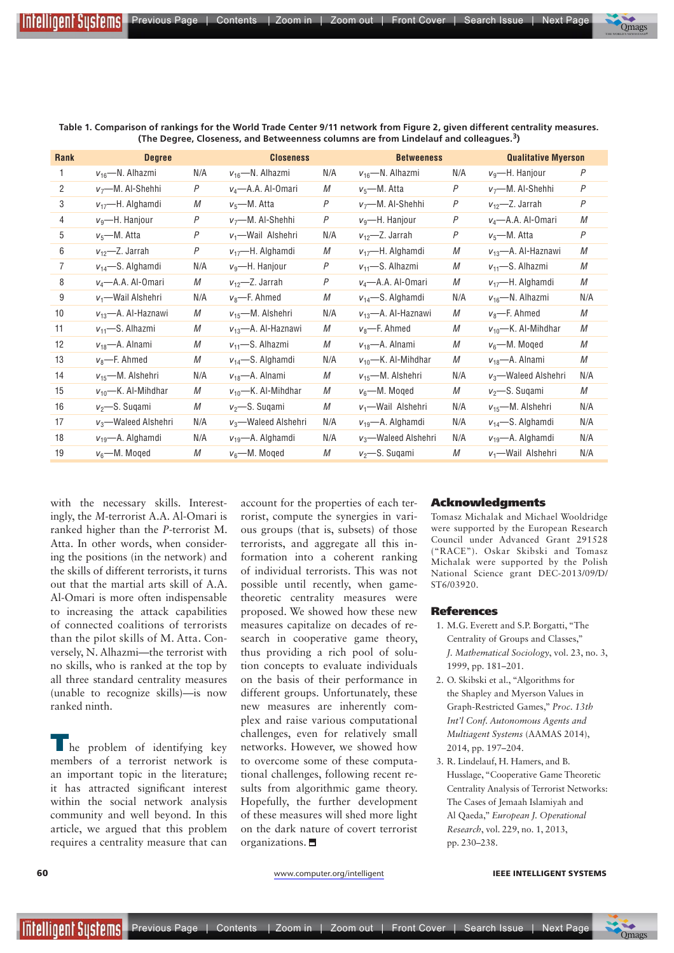| Rank | <b>Degree</b>           |     | <b>Closeness</b>        |     | <b>Betweeness</b>       |                | <b>Qualitative Myerson</b> |                |
|------|-------------------------|-----|-------------------------|-----|-------------------------|----------------|----------------------------|----------------|
| 1    | $v_{16}$ —N. Alhazmi    | N/A | $v_{16}$ —N. Alhazmi    | N/A | $v_{16}$ —N. Alhazmi    | N/A            | $v_9$ —H. Hanjour          | P              |
| 2    | $v_7$ —M. Al-Shehhi     | P   | $v_4$ —A.A. Al-Omari    | М   | $v_5$ —M. Atta          | P              | $v_7$ —M. Al-Shehhi        | P              |
| 3    | $v_{17}$ —H. Alghamdi   | М   | $v_5$ —M. Atta          | P   | $v_7$ —M. Al-Shehhi     | $\overline{P}$ | $v_{12}$ - Z. Jarrah       | $\overline{P}$ |
| 4    | $vq$ —H. Hanjour        | P   | $v_7$ —M. Al-Shehhi     | P   | $vq$ -H. Hanjour        | P              | $v_4$ —A.A. Al-Omari       | М              |
| 5    | $v_5$ —M. Atta          | P   | $v_1$ —Wail Alshehri    | N/A | $v_{12}$ - Z. Jarrah    | P              | $v_5$ —M. Atta             | P              |
| 6    | $v_{12}$ - Z. Jarrah    | P   | $v_{17}$ —H. Alghamdi   | М   | $v_{17}$ —H. Alghamdi   | M              | $v_{13}$ —A. Al-Haznawi    | М              |
| 7    | $v_{14}$ —S. Alghamdi   | N/A | $vq$ -H. Hanjour        | P   | $v_{11}$ —S. Alhazmi    | M              | $v_{11}$ —S. Alhazmi       | М              |
| 8    | $v_4$ —A.A. Al-Omari    | M   | $v_{12}$ -Z. Jarrah     | P   | $v_4$ —A.A. Al-Omari    | М              | $v_{17}$ —H. Alghamdi      | М              |
| 9    | $v_1$ —Wail Alshehri    | N/A | $v_8$ —F. Ahmed         | М   | $v_{14}$ —S. Alghamdi   | N/A            | $v_{16}$ —N. Alhazmi       | N/A            |
| 10   | $v_{13}$ —A. Al-Haznawi | М   | $v_{15}$ —M. Alshehri   | N/A | $v_{13}$ —A. Al-Haznawi | М              | $v_8$ —F. Ahmed            | М              |
| 11   | $v_{11}$ —S. Alhazmi    | М   | $v_{13}$ —A. Al-Haznawi | М   | $v_8$ —F. Ahmed         | М              | $v_{10}$ —K. Al-Mihdhar    | М              |
| 12   | $v_{18}$ —A. Alnami     | М   | $v_{11}$ —S. Alhazmi    | М   | $v_{18}$ —A. Alnami     | М              | $v_6$ —M. Moqed            | М              |
| 13   | $v_8$ —F. Ahmed         | М   | $v_{14}$ —S. Alghamdi   | N/A | $v_{10}$ —K. Al-Mihdhar | M              | $v_{18}$ —A. Alnami        | М              |
| 14   | $v_{15}$ —M. Alshehri   | N/A | $v_{18}$ —A. Alnami     | М   | $v_{15}$ —M. Alshehri   | N/A            | $v_3$ —Waleed Alshehri     | N/A            |
| 15   | $v_{10}$ —K. Al-Mihdhar | M   | $v_{10}$ —K. Al-Mihdhar | М   | $v_6$ —M. Moged         | M              | $v_2$ —S. Suqami           | М              |
| 16   | $v_2$ —S. Suqami        | М   | $v_2$ —S. Suqami        | М   | $v_1$ —Wail Alshehri    | N/A            | $v_{15}$ —M. Alshehri      | N/A            |
| 17   | $v_3$ —Waleed Alshehri  | N/A | $v_3$ —Waleed Alshehri  | N/A | $v_{19}$ —A. Alghamdi   | N/A            | $v_{14}$ —S. Alghamdi      | N/A            |
| 18   | $v_{19}$ —A. Alghamdi   | N/A | $v_{19}$ —A. Alghamdi   | N/A | $v_3$ —Waleed Alshehri  | N/A            | $v_{19}$ —A. Alghamdi      | N/A            |
| 19   | $v_6$ —M. Moqed         | М   | $v_6$ —M. Moqed         | М   | $v_2$ —S. Suqami        | М              | $v_1$ —Wail Alshehri       | N/A            |

**Table 1. Comparison of rankings for the World Trade Center 9/11 network from Figure 2, given different centrality measures. (The Degree, Closeness, and Betweenness columns are from Lindelauf and colleagues.3)**

with the necessary skills. Interestingly, the *M*-terrorist A.A. Al-Omari is ranked higher than the *P*-terrorist M. Atta. In other words, when considering the positions (in the network) and the skills of different terrorists, it turns out that the martial arts skill of A.A. Al-Omari is more often indispensable to increasing the attack capabilities of connected coalitions of terrorists than the pilot skills of M. Atta. Conversely, N. Alhazmi—the terrorist with no skills, who is ranked at the top by all three standard centrality measures (unable to recognize skills)—is now ranked ninth.

I he problem of identifying key members of a terrorist network is an important topic in the literature; it has attracted signifcant interest within the social network analysis community and well beyond. In this article, we argued that this problem requires a centrality measure that can

account for the properties of each terrorist, compute the synergies in various groups (that is, subsets) of those terrorists, and aggregate all this information into a coherent ranking of individual terrorists. This was not possible until recently, when gametheoretic centrality measures were proposed. We showed how these new measures capitalize on decades of research in cooperative game theory, thus providing a rich pool of solution concepts to evaluate individuals on the basis of their performance in different groups. Unfortunately, these new measures are inherently complex and raise various computational challenges, even for relatively small networks. However, we showed how to overcome some of these computational challenges, following recent results from algorithmic game theory. Hopefully, the further development of these measures will shed more light on the dark nature of covert terrorist organizations.

#### Acknowledgments

Tomasz Michalak and Michael Wooldridge were supported by the European Research Council under Advanced Grant 291528 ("RACE"). Oskar Skibski and Tomasz Michalak were supported by the Polish National Science grant DEC-2013/09/D/ ST6/03920.

#### References

- 1. M.G. Everett and S.P. Borgatti, "The Centrality of Groups and Classes," *J. Mathematical Sociology*, vol. 23, no. 3, 1999, pp. 181–201.
- 2. O. Skibski et al., "Algorithms for the Shapley and Myerson Values in Graph-Restricted Games," *Proc. 13th Int'l Conf. Autonomous Agents and Multiagent Systems* (AAMAS 2014), 2014, pp. 197–204.
- 3. R. Lindelauf, H. Hamers, and B. Husslage, "Cooperative Game Theoretic Centrality Analysis of Terrorist Networks: The Cases of Jemaah Islamiyah and Al Qaeda," *European J. Operational Research*, vol. 229, no. 1, 2013, pp. 230–238.

Qmags

 $\overline{\phantom{a}}$  $\frac{1}{\sqrt{2}}$